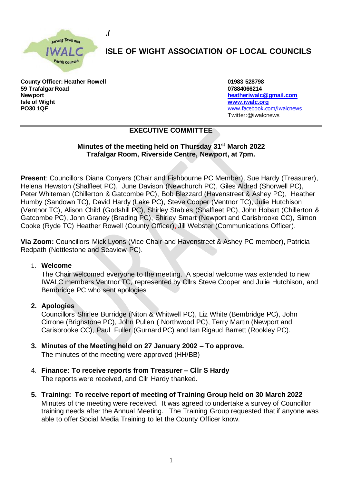

**./**

# **ISLE OF WIGHT ASSOCIATION OF LOCAL COUNCILS**

**County Officer: Heather Rowell 01983 528798 59 Trafalgar Road 07884066214 Newport [heatheriwalc@gmail.com](mailto:heatheriwalc@gmail.com) Isle of Wight [www.iwalc.org](http://www.iwalc.org/) PO30 1QF** [www.facebook.com/iwalcnews](http://www.facebook.com/iwalcnews)

Twitter:@iwalcnews

## **EXECUTIVE COMMITTEE**

### **Minutes of the meeting held on Thursday 31st March 2022 Trafalgar Room, Riverside Centre, Newport, at 7pm.**

**Present**: Councillors Diana Conyers (Chair and Fishbourne PC Member), Sue Hardy (Treasurer), Helena Hewston (Shalfleet PC), June Davison (Newchurch PC), Giles Aldred (Shorwell PC), Peter Whiteman (Chillerton & Gatcombe PC), Bob Blezzard (Havenstreet & Ashey PC), Heather Humby (Sandown TC), David Hardy (Lake PC), Steve Cooper (Ventnor TC), Julie Hutchison (Ventnor TC), Alison Child (Godshill PC), Shirley Stables (Shalfleet PC), John Hobart (Chillerton & Gatcombe PC), John Graney (Brading PC), Shirley Smart (Newport and Carisbrooke CC), Simon Cooke (Ryde TC) Heather Rowell (County Officer), Jill Webster (Communications Officer).

**Via Zoom:** Councillors Mick Lyons (Vice Chair and Havenstreet & Ashey PC member), Patricia Redpath (Nettlestone and Seaview PC).

#### 1. **Welcome**

The Chair welcomed everyone to the meeting. A special welcome was extended to new IWALC members Ventnor TC, represented by Cllrs Steve Cooper and Julie Hutchison, and Bembridge PC who sent apologies

#### **2. Apologies**

Councillors Shirlee Burridge (Niton & Whitwell PC), Liz White (Bembridge PC), John Cirrone (Brighstone PC), John Pullen ( Northwood PC), Terry Martin (Newport and Carisbrooke CC), Paul Fuller (Gurnard PC) and Ian Rigaud Barrett (Rookley PC).

- **3. Minutes of the Meeting held on 27 January 2002 – To approve.**  The minutes of the meeting were approved (HH/BB)
- 4. **Finance: To receive reports from Treasurer – Cllr S Hardy**  The reports were received, and Cllr Hardy thanked.
- **5. Training: To receive report of meeting of Training Group held on 30 March 2022** Minutes of the meeting were received. It was agreed to undertake a survey of Councillor training needs after the Annual Meeting. The Training Group requested that if anyone was able to offer Social Media Training to let the County Officer know.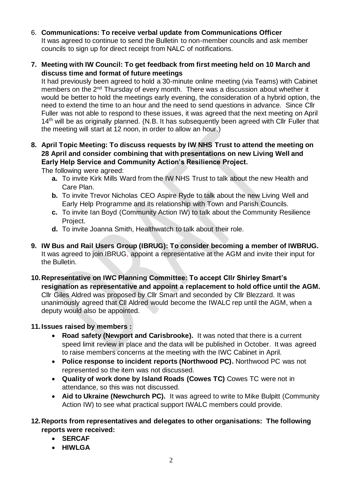- 6. **Communications: To receive verbal update from Communications Officer**  It was agreed to continue to send the Bulletin to non-member councils and ask member councils to sign up for direct receipt from NALC of notifications.
- **7. Meeting with IW Council: To get feedback from first meeting held on 10 March and discuss time and format of future meetings**

It had previously been agreed to hold a 30-minute online meeting (via Teams) with Cabinet members on the 2<sup>nd</sup> Thursday of every month. There was a discussion about whether it would be better to hold the meetings early evening, the consideration of a hybrid option, the need to extend the time to an hour and the need to send questions in advance. Since Cllr Fuller was not able to respond to these issues, it was agreed that the next meeting on April 14<sup>th</sup> will be as originally planned. (N.B. It has subsequently been agreed with Cllr Fuller that the meeting will start at 12 noon, in order to allow an hour.)

**8. April Topic Meeting: To discuss requests by IW NHS Trust to attend the meeting on 28 April and consider combining that with presentations on new Living Well and Early Help Service and Community Action's Resilience Project.**

The following were agreed:

- **a.** To invite Kirk Mills Ward from the IW NHS Trust to talk about the new Health and Care Plan.
- **b.** To invite Trevor Nicholas CEO Aspire Ryde to talk about the new Living Well and Early Help Programme and its relationship with Town and Parish Councils.
- **c.** To invite Ian Boyd (Community Action IW) to talk about the Community Resilience Project.
- **d.** To invite Joanna Smith, Healthwatch to talk about their role.
- **9. IW Bus and Rail Users Group (IBRUG): To consider becoming a member of IWBRUG.**  It was agreed to join IBRUG, appoint a representative at the AGM and invite their input for the Bulletin.
- **10.Representative on IWC Planning Committee: To accept Cllr Shirley Smart's resignation as representative and appoint a replacement to hold office until the AGM.**  Cllr Giles Aldred was proposed by Cllr Smart and seconded by Cllr Blezzard. It was unanimously agreed that Cll Aldred would become the IWALC rep until the AGM, when a deputy would also be appointed.

## **11.Issues raised by members :**

- **Road safety (Newport and Carisbrooke).** It was noted that there is a current speed limit review in place and the data will be published in October. It was agreed to raise members concerns at the meeting with the IWC Cabinet in April.
- **Police response to incident reports (Northwood PC).** Northwood PC was not represented so the item was not discussed.
- **Quality of work done by Island Roads (Cowes TC)** Cowes TC were not in attendance, so this was not discussed.
- **Aid to Ukraine (Newchurch PC).** It was agreed to write to Mike Bulpitt (Community Action IW) to see what practical support IWALC members could provide.

## **12.Reports from representatives and delegates to other organisations: The following reports were received:**

- **SERCAF**
- **HIWLGA**